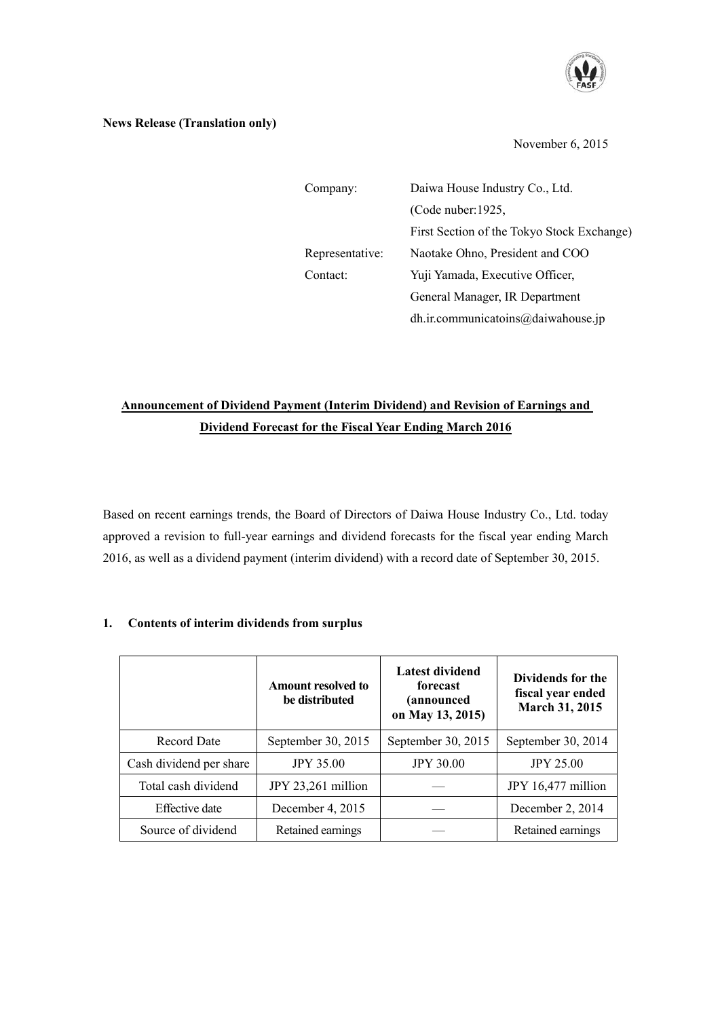

### **News Release (Translation only)**

November 6, 2015

| Company:        | Daiwa House Industry Co., Ltd.             |  |  |
|-----------------|--------------------------------------------|--|--|
|                 | (Code nuber: $1925$ ,                      |  |  |
|                 | First Section of the Tokyo Stock Exchange) |  |  |
| Representative: | Naotake Ohno, President and COO            |  |  |
| Contact:        | Yuji Yamada, Executive Officer,            |  |  |
|                 | General Manager, IR Department             |  |  |
|                 | dh.ir.communicatoins@daiwahouse.jp         |  |  |

# **Announcement of Dividend Payment (Interim Dividend) and Revision of Earnings and Dividend Forecast for the Fiscal Year Ending March 2016**

Based on recent earnings trends, the Board of Directors of Daiwa House Industry Co., Ltd. today approved a revision to full-year earnings and dividend forecasts for the fiscal year ending March 2016, as well as a dividend payment (interim dividend) with a record date of September 30, 2015.

|                         | <b>Amount resolved to</b><br>be distributed | Latest dividend<br>forecast<br>(announced<br>on May 13, 2015) | Dividends for the<br>fiscal year ended<br><b>March 31, 2015</b> |  |
|-------------------------|---------------------------------------------|---------------------------------------------------------------|-----------------------------------------------------------------|--|
| <b>Record Date</b>      | September 30, 2015                          | September 30, 2015                                            | September 30, 2014                                              |  |
| Cash dividend per share | <b>JPY 35.00</b>                            | <b>JPY 30.00</b>                                              | <b>JPY 25.00</b>                                                |  |
| Total cash dividend     | JPY 23,261 million                          |                                                               | JPY 16,477 million                                              |  |
| Effective date          | December 4, 2015                            |                                                               | December 2, 2014                                                |  |
| Source of dividend      | Retained earnings                           |                                                               | Retained earnings                                               |  |

## **1. Contents of interim dividends from surplus**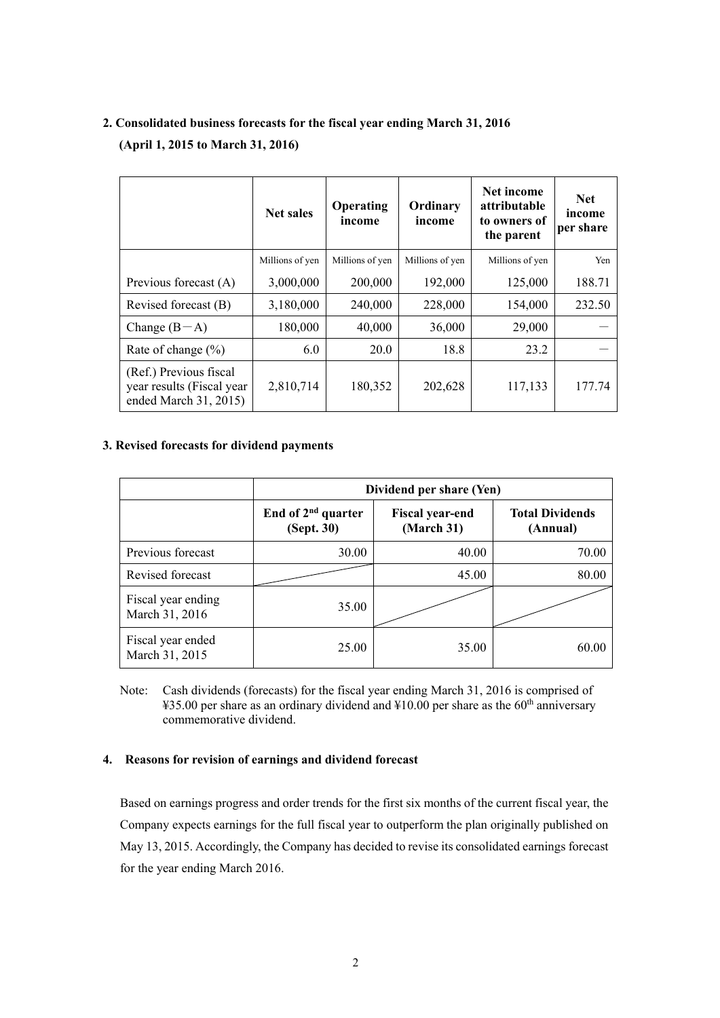# **2. Consolidated business forecasts for the fiscal year ending March 31, 2016**

**(April 1, 2015 to March 31, 2016)** 

|                                                                              | <b>Net sales</b> | <b>Operating</b><br>income | Ordinary<br>income | Net income<br>attributable<br>to owners of<br>the parent | <b>Net</b><br>income<br>per share |
|------------------------------------------------------------------------------|------------------|----------------------------|--------------------|----------------------------------------------------------|-----------------------------------|
|                                                                              | Millions of yen  | Millions of yen            | Millions of yen    | Millions of yen                                          | Yen                               |
| Previous forecast (A)                                                        | 3,000,000        | 200,000                    | 192,000            | 125,000                                                  | 188.71                            |
| Revised forecast (B)                                                         | 3,180,000        | 240,000                    | 228,000            | 154,000                                                  | 232.50                            |
| Change $(B-A)$                                                               | 180,000          | 40,000                     | 36,000             | 29,000                                                   |                                   |
| Rate of change $(\% )$                                                       | 6.0              | 20.0                       | 18.8               | 23.2                                                     |                                   |
| (Ref.) Previous fiscal<br>year results (Fiscal year<br>ended March 31, 2015) | 2,810,714        | 180,352                    | 202,628            | 117,133                                                  | 177.74                            |

### **3. Revised forecasts for dividend payments**

|                                      | Dividend per share (Yen)                     |                                      |                                    |  |
|--------------------------------------|----------------------------------------------|--------------------------------------|------------------------------------|--|
|                                      | End of 2 <sup>nd</sup> quarter<br>(Sept. 30) | <b>Fiscal year-end</b><br>(March 31) | <b>Total Dividends</b><br>(Annual) |  |
| Previous forecast                    | 30.00                                        | 40.00                                | 70.00                              |  |
| Revised forecast                     |                                              | 45.00                                | 80.00                              |  |
| Fiscal year ending<br>March 31, 2016 | 35.00                                        |                                      |                                    |  |
| Fiscal year ended<br>March 31, 2015  | 25.00                                        | 35.00                                | 60.00                              |  |

Note: Cash dividends (forecasts) for the fiscal year ending March 31, 2016 is comprised of ¥35.00 per share as an ordinary dividend and  $\text{\textsterling}10.00$  per share as the 60<sup>th</sup> anniversary commemorative dividend.

#### **4. Reasons for revision of earnings and dividend forecast**

Based on earnings progress and order trends for the first six months of the current fiscal year, the Company expects earnings for the full fiscal year to outperform the plan originally published on May 13, 2015. Accordingly, the Company has decided to revise its consolidated earnings forecast for the year ending March 2016.